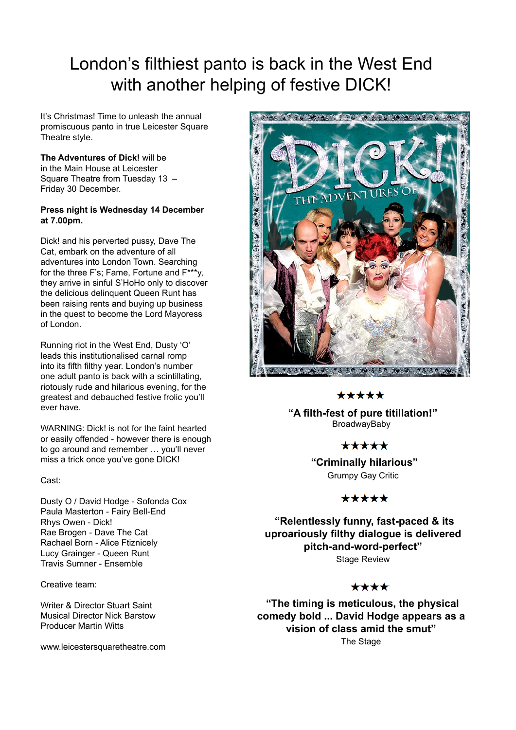# London's filthiest panto is back in the West End with another helping of festive DICK!

It's Christmas! Time to unleash the annual promiscuous panto in true Leicester Square Theatre style.

**The Adventures of Dick!** will be in the Main House at Leicester Square Theatre from Tuesday 13 – Friday 30 December.

### **Press night is Wednesday 14 December at 7.00pm.**

Dick! and his perverted pussy, Dave The Cat, embark on the adventure of all adventures into London Town. Searching for the three F's; Fame, Fortune and F\*\*\*y, they arrive in sinful S'HoHo only to discover the delicious delinquent Queen Runt has been raising rents and buying up business in the quest to become the Lord Mayoress of London.

Running riot in the West End, Dusty 'O' leads this institutionalised carnal romp into its fifth filthy year. London's number one adult panto is back with a scintillating, riotously rude and hilarious evening, for the greatest and debauched festive frolic you'll ever have.

WARNING: Dick! is not for the faint hearted or easily offended - however there is enough to go around and remember … you'll never miss a trick once you've gone DICK!

Cast:

Dusty O / David Hodge - Sofonda Cox Paula Masterton - Fairy Bell-End Rhys Owen - Dick! Rae Brogen - Dave The Cat Rachael Born - Alice Ftiznicely Lucy Grainger - Queen Runt Travis Sumner - Ensemble

Creative team:

Writer & Director Stuart Saint Musical Director Nick Barstow Producer Martin Witts

www.leicestersquaretheatre.com



### \*\*\*\*\*

 **"A filth-fest of pure titillation!" BroadwayBaby** 

\*\*\*\*\*

 **"Criminally hilarious"**  Grumpy Gay Critic

### \*\*\*\*\*

 **"Relentlessly funny, fast-paced & its uproariously filthy dialogue is delivered pitch-and-word-perfect"**  Stage Review

### \*\*\*\*

 **"The timing is meticulous, the physical comedy bold ... David Hodge appears as a vision of class amid the smut"**  The Stage